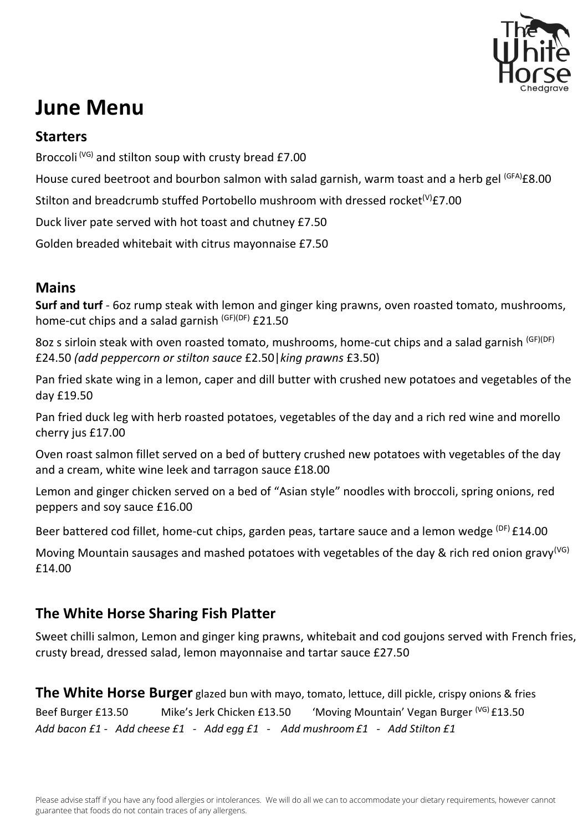

# **June Menu**

### **Starters**

Broccoli  $(VG)$  and stilton soup with crusty bread £7.00

House cured beetroot and bourbon salmon with salad garnish, warm toast and a herb gel <sup>(GFA)</sup>£8.00

Stilton and breadcrumb stuffed Portobello mushroom with dressed rocket<sup>(V)</sup>£7.00

Duck liver pate served with hot toast and chutney £7.50

Golden breaded whitebait with citrus mayonnaise £7.50

### **Mains**

**Surf and turf** - 6oz rump steak with lemon and ginger king prawns, oven roasted tomato, mushrooms, home-cut chips and a salad garnish (GF)(DF) £21.50

8oz s sirloin steak with oven roasted tomato, mushrooms, home-cut chips and a salad garnish (GF)(DF) £24.50 *(add peppercorn or stilton sauce* £2.50|*king prawns* £3.50)

Pan fried skate wing in a lemon, caper and dill butter with crushed new potatoes and vegetables of the day £19.50

Pan fried duck leg with herb roasted potatoes, vegetables of the day and a rich red wine and morello cherry jus £17.00

Oven roast salmon fillet served on a bed of buttery crushed new potatoes with vegetables of the day and a cream, white wine leek and tarragon sauce £18.00

Lemon and ginger chicken served on a bed of "Asian style" noodles with broccoli, spring onions, red peppers and soy sauce £16.00

Beer battered cod fillet, home-cut chips, garden peas, tartare sauce and a lemon wedge <sup>(DF)</sup> £14.00

Moving Mountain sausages and mashed potatoes with vegetables of the day & rich red onion gravy<sup>(VG)</sup> £14.00

## **The White Horse Sharing Fish Platter**

Sweet chilli salmon, Lemon and ginger king prawns, whitebait and cod goujons served with French fries, crusty bread, dressed salad, lemon mayonnaise and tartar sauce £27.50

**The White Horse Burger** glazed bun with mayo, tomato, lettuce, dill pickle, crispy onions & fries Beef Burger £13.50 Mike's Jerk Chicken £13.50 'Moving Mountain' Vegan Burger <sup>(VG)</sup> £13.50 *Add bacon £1 - Add cheese £1 - Add egg £1 - Add mushroom£1 - Add Stilton £1*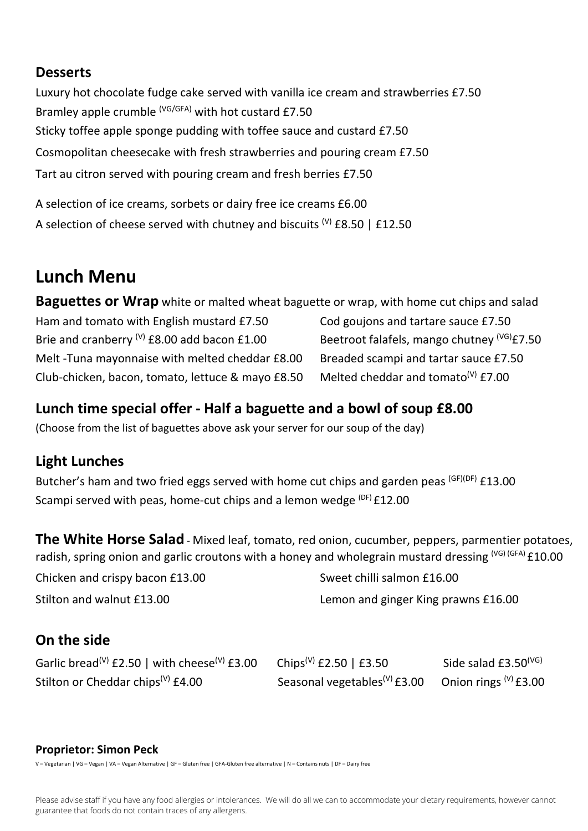#### **Desserts**

Luxury hot chocolate fudge cake served with vanilla ice cream and strawberries £7.50 Bramley apple crumble (VG/GFA) with hot custard £7.50 Sticky toffee apple sponge pudding with toffee sauce and custard £7.50 Cosmopolitan cheesecake with fresh strawberries and pouring cream £7.50 Tart au citron served with pouring cream and fresh berries £7.50

A selection of ice creams, sorbets or dairy free ice creams £6.00 A selection of cheese served with chutney and biscuits  $^{(V)}$  £8.50 | £12.50

## **Lunch Menu**

**Baguettes or Wrap** white or malted wheat baguette or wrap, with home cut chips and salad Ham and tomato with English mustard £7.50 Cod goujons and tartare sauce £7.50 Brie and cranberry <sup>(V)</sup> £8.00 add bacon £1.00 Beetroot falafels, mango chutney  $V^{(G)}$ £7.50 Melt -Tuna mayonnaise with melted cheddar £8.00 Breaded scampi and tartar sauce £7.50 Club-chicken, bacon, tomato, lettuce & mayo £8.50 Melted cheddar and tomato<sup>(V)</sup>  $f7.00$ 

## **Lunch time special offer - Half a baguette and a bowl of soup £8.00**

(Choose from the list of baguettes above ask your server for our soup of the day)

## **Light Lunches**

Butcher's ham and two fried eggs served with home cut chips and garden peas <sup>(GF)(DF)</sup> £13.00 Scampi served with peas, home-cut chips and a lemon wedge  $(DF)$  £12.00

**The White Horse Salad** - Mixed leaf, tomato, red onion, cucumber, peppers, parmentier potatoes, radish, spring onion and garlic croutons with a honey and wholegrain mustard dressing <sup>(VG) (GFA)</sup> £10.00

Chicken and crispy bacon £13.00 Sweet chilli salmon £16.00

Stilton and walnut £13.00 **Lemon and ginger King prawns £16.00** 

## **On the side**

| Garlic bread <sup>(V)</sup> £2.50   with cheese <sup>(V)</sup> £3.00 | Chips <sup>(V)</sup> £2.50   £3.50       | Side salad $£3.50(VG)$     |
|----------------------------------------------------------------------|------------------------------------------|----------------------------|
| Stilton or Cheddar chips <sup>(V)</sup> £4.00                        | Seasonal vegetables <sup>(V)</sup> £3.00 | Onion rings $^{(V)}$ £3.00 |

#### **Proprietor: Simon Peck**

V – Vegetarian | VG – Vegan | VA – Vegan Alternative | GF – Gluten free | GFA-Gluten free alternative | N – Contains nuts | DF – Dairy free